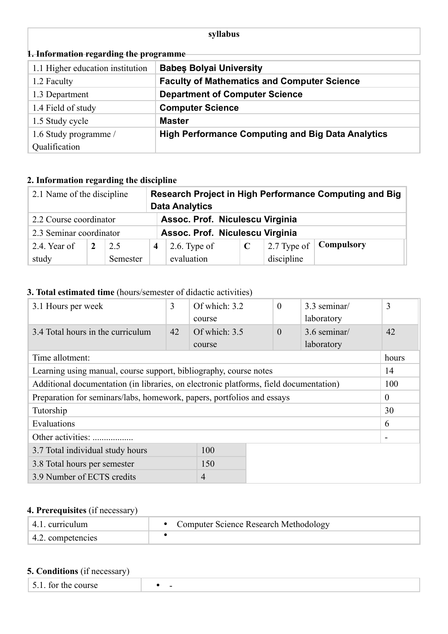## **syllabus**

| 1. Information regarding the programme |                                                          |  |  |
|----------------------------------------|----------------------------------------------------------|--|--|
| 1.1 Higher education institution       | <b>Babes Bolyai University</b>                           |  |  |
| 1.2 Faculty                            | <b>Faculty of Mathematics and Computer Science</b>       |  |  |
| 1.3 Department                         | <b>Department of Computer Science</b>                    |  |  |
| 1.4 Field of study                     | <b>Computer Science</b>                                  |  |  |
| 1.5 Study cycle                        | <b>Master</b>                                            |  |  |
| 1.6 Study programme /                  | <b>High Performance Computing and Big Data Analytics</b> |  |  |
| Qualification                          |                                                          |  |  |

# **2. Information regarding the discipline**

| 2.1 Name of the discipline |                                 |          | Research Project in High Performance Computing and Big<br><b>Data Analytics</b> |                                 |  |             |            |
|----------------------------|---------------------------------|----------|---------------------------------------------------------------------------------|---------------------------------|--|-------------|------------|
| 2.2 Course coordinator     | Assoc. Prof. Niculescu Virginia |          |                                                                                 |                                 |  |             |            |
| 2.3 Seminar coordinator    |                                 |          |                                                                                 | Assoc. Prof. Niculescu Virginia |  |             |            |
| 2.4. Year of               |                                 | 2.5      | 4                                                                               | $2.6$ . Type of                 |  | 2.7 Type of | Compulsory |
| study                      |                                 | Semester |                                                                                 | evaluation                      |  | discipline  |            |

## **3. Total estimated time** (hours/semester of didactic activities)

| 3.1 Hours per week                                                                    | 3  | Of which: 3.2<br>course | $\theta$ | 3.3 seminar/<br>laboratory | 3              |
|---------------------------------------------------------------------------------------|----|-------------------------|----------|----------------------------|----------------|
| 3.4 Total hours in the curriculum                                                     | 42 | Of which: $3.5$         | $\theta$ | 3.6 seminar/               | 42             |
|                                                                                       |    | course                  |          | laboratory                 |                |
| Time allotment:                                                                       |    |                         |          |                            | hours          |
| Learning using manual, course support, bibliography, course notes                     |    |                         |          |                            | 14             |
| Additional documentation (in libraries, on electronic platforms, field documentation) |    |                         |          |                            | 100            |
| Preparation for seminars/labs, homework, papers, portfolios and essays                |    |                         |          |                            | $\theta$       |
| Tutorship                                                                             |    |                         |          |                            | 30             |
| Evaluations                                                                           |    |                         |          |                            | 6              |
| Other activities:                                                                     |    |                         |          |                            | $\blacksquare$ |
| 100<br>3.7 Total individual study hours                                               |    |                         |          |                            |                |
| 150<br>3.8 Total hours per semester                                                   |    |                         |          |                            |                |
| 3.9 Number of ECTS credits<br>$\overline{4}$                                          |    |                         |          |                            |                |

# **4. Prerequisites** (if necessary)

| 4.1. curriculum   | • Computer Science Research Methodology |
|-------------------|-----------------------------------------|
| 4.2. competencies |                                         |

## **5. Conditions** (if necessary)

| $\vert$ 5.1. for the course<br>- |
|----------------------------------|
|----------------------------------|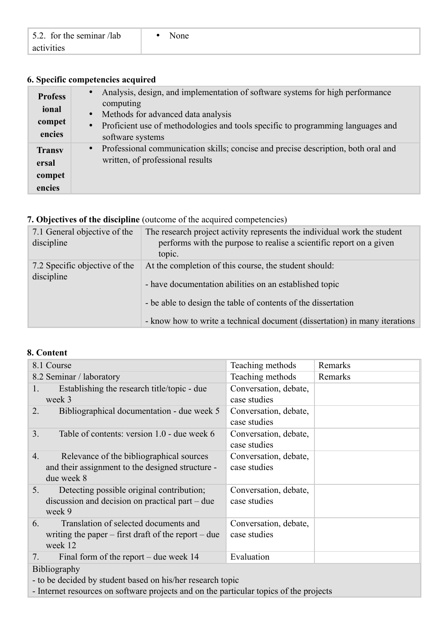| 5.2. for the seminar /lab | None |  |
|---------------------------|------|--|
| activities                |      |  |

## **6. Specific competencies acquired**

| <b>Profess</b><br>ional<br>compet<br>encies | Analysis, design, and implementation of software systems for high performance<br>$\bullet$<br>computing<br>Methods for advanced data analysis<br>$\bullet$<br>Proficient use of methodologies and tools specific to programming languages and<br>$\bullet$<br>software systems |
|---------------------------------------------|--------------------------------------------------------------------------------------------------------------------------------------------------------------------------------------------------------------------------------------------------------------------------------|
| <b>Transy</b><br>ersal<br>compet<br>encies  | Professional communication skills; concise and precise description, both oral and<br>$\bullet$<br>written, of professional results                                                                                                                                             |

## **7. Objectives of the discipline** (outcome of the acquired competencies)

| 7.1 General objective of the<br>discipline  | The research project activity represents the individual work the student<br>performs with the purpose to realise a scientific report on a given<br>topic.                                                                                                      |
|---------------------------------------------|----------------------------------------------------------------------------------------------------------------------------------------------------------------------------------------------------------------------------------------------------------------|
| 7.2 Specific objective of the<br>discipline | At the completion of this course, the student should:<br>- have documentation abilities on an established topic<br>- be able to design the table of contents of the dissertation<br>- know how to write a technical document (dissertation) in many iterations |

#### **8. Content**

| 8.1 Course                                                                             | Teaching methods      | Remarks |  |  |
|----------------------------------------------------------------------------------------|-----------------------|---------|--|--|
| 8.2 Seminar / laboratory                                                               | Teaching methods      | Remarks |  |  |
| Establishing the research title/topic - due<br>1.                                      | Conversation, debate, |         |  |  |
| week 3                                                                                 | case studies          |         |  |  |
| Bibliographical documentation - due week 5<br>2.                                       | Conversation, debate, |         |  |  |
|                                                                                        | case studies          |         |  |  |
| 3 <sub>1</sub><br>Table of contents: version 1.0 - due week 6                          | Conversation, debate, |         |  |  |
|                                                                                        | case studies          |         |  |  |
| Relevance of the bibliographical sources<br>4.                                         | Conversation, debate, |         |  |  |
| and their assignment to the designed structure -                                       | case studies          |         |  |  |
| due week 8                                                                             |                       |         |  |  |
| Detecting possible original contribution;<br>5.                                        | Conversation, debate, |         |  |  |
| discussion and decision on practical part – due                                        | case studies          |         |  |  |
| week 9                                                                                 |                       |         |  |  |
| Translation of selected documents and<br>6.                                            | Conversation, debate, |         |  |  |
| writing the paper $-$ first draft of the report $-$ due                                | case studies          |         |  |  |
| week 12                                                                                |                       |         |  |  |
| Final form of the report – due week $14$<br>7.                                         | Evaluation            |         |  |  |
| <b>Bibliography</b>                                                                    |                       |         |  |  |
| - to be decided by student based on his/her research topic                             |                       |         |  |  |
| - Internet resources on software projects and on the particular topics of the projects |                       |         |  |  |